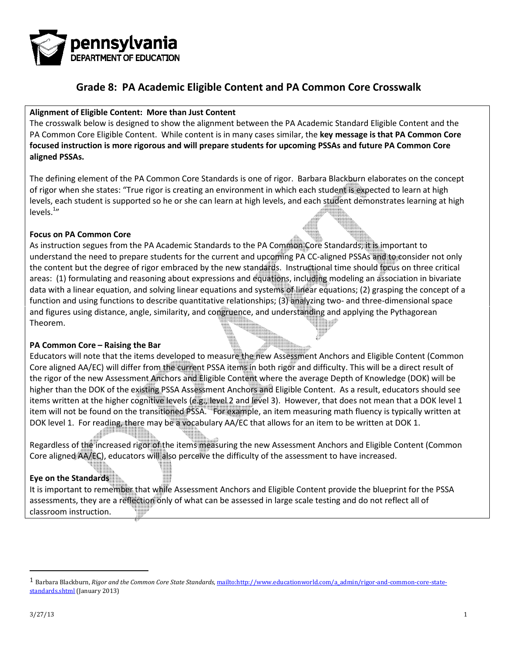

#### Alignment of Eligible Content: More than Just Content

The crosswalk below is designed to show the alignment between the PA Academic Standard Eligible Content and the<br>PA Common Core Eligible Content. While content is in many cases similar, the **key message is that PA Common Co** PA Common Core Eligible Content. While content is in many cases similar, the key message is that PA Common Core focused instruction is more rigorous and will prepare students for upcoming PSSAs and future PA Common Core aligned PSSAs.

The defining element of the PA Common Core Standards is one of rigor. Barbara Blackburn elaborates on the concept of rigor when she states: "True rigor is creating an environment in which each student is expected to learn at high of rigor when she states: "True rigor is creating an environment in which each student is expected to learn at high<br>Ievels, each student is supported so he or she can learn at high levels, and each student demonstrates lea levels. $11$ 

#### Focus on PA Common Core

As instruction segues from the PA Academic Standards to the PA Common Core Standards, it is important to As instruction segues from the PA Academic Standards to the PA Common Core Standards, it is important to<br>understand the need to prepare students for the current and upcoming PA CC-aligned PSSAs and to consider not only the content but the degree of rigor embraced by the new standards. Instructional time should focus on three critical areas: (1) formulating and reasoning about expressions and equations, including modeling an association in bivariate understand the need to prepare students for the current and upcoming PA CC-aligned PSSAs and to consider not only<br>the content but the degree of rigor embraced by the new standards. Instructional time should focus on three function and using functions to describe quantitative relationships; (3) analyzing two- and three-dimensional space and figures using distance, angle, similarity, and congruence, and understanding and applying the Pythagorean Theorem. and figures using distance, angle, similarity, and congruence, and understanding and applying the Pythagorean<br>Theorem.<br>Educators will note that the items developed to measure the new Assessment Anchors and Eligible Content

#### PA Common Core – Raising the Bar

Core aligned AA/EC) will differ from the current PSSA items in both rigor and difficulty. This will be a direct result of the rigor of the new Assessment Anchors and Eligible Content where the average Depth of Knowledge (DOK) will be Core aligned AA/EC) will differ from the current PSSA items in both rigor and difficulty. This will be a direct result of<br>the rigor of the new Assessment Anchors and Eligible Content where the average Depth of Knowledge (D items written at the higher cognitive levels (e.g., level 2 and level 3). However, that does not mean that a DOK level 1 item will not be found on the transitioned PSSA. For example, an item measuring math fluency is typically written at evel 2 and level 3). However, that does not mean that a DOK leve<br>For example, an item measuring math fluency is typically written<br>ary AA/EC that allows for an item to be written at DOK 1.<br>suring the new Assessment Anchors

DOK level 1. For reading, there may be a vocabulary AA/EC that allows for an item to be written at DOK 1.<br>Regardless of the increased rigor of the items measuring the new Assessment Anchors and Eligible Content<br>Core aligne Regardless of the increased rigor of the items measuring the new Assessment Anchors and Eligible Content (Common Core aligned AA/EC), educators will also perceive the difficulty of the assessment to have increased.

#### Eye on the Standards

It is important to remember that while Assessment Anchors and Eligible Content provide the blueprint for the PSSA<br>assessments, they are a reflection only of what can be assessed in large scale testing and do not reflect al assessments, they are a reflection only of what can be assessed in large scale testing and do not reflect all of classroom instruction.

 $\overline{a}$ 

<sup>1</sup> Barbara Blackburn, Rigor and the Common Core State Standards, mailto:http://www.educationworld.com/a\_admin/rigor-and-common-core-statestandards.shtml (January 2013)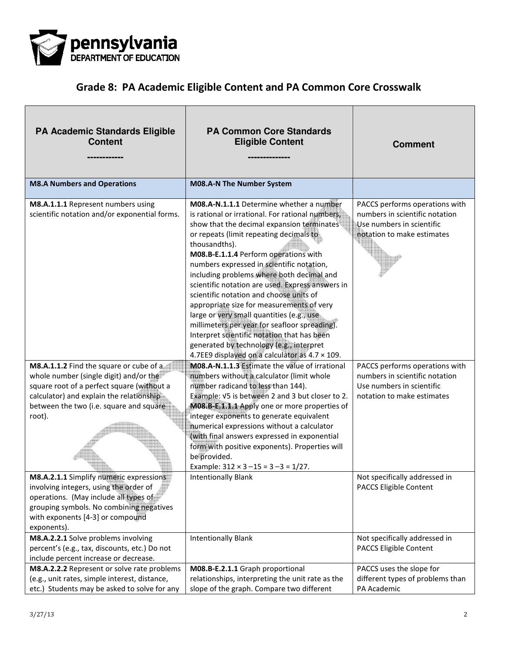

| <b>PA Academic Standards Eligible</b><br><b>Content</b>                                                                                                                                                                          | <b>PA Common Core Standards</b><br><b>Eligible Content</b>                                                                                                                                                                                                                                                                                                                                                                                                                                                                                                                                                                                                                                                                        | <b>Comment</b>                                                                                                              |
|----------------------------------------------------------------------------------------------------------------------------------------------------------------------------------------------------------------------------------|-----------------------------------------------------------------------------------------------------------------------------------------------------------------------------------------------------------------------------------------------------------------------------------------------------------------------------------------------------------------------------------------------------------------------------------------------------------------------------------------------------------------------------------------------------------------------------------------------------------------------------------------------------------------------------------------------------------------------------------|-----------------------------------------------------------------------------------------------------------------------------|
| <b>M8.A Numbers and Operations</b>                                                                                                                                                                                               | M08.A-N The Number System                                                                                                                                                                                                                                                                                                                                                                                                                                                                                                                                                                                                                                                                                                         |                                                                                                                             |
| M8.A.1.1.1 Represent numbers using<br>scientific notation and/or exponential forms.                                                                                                                                              | M08.A-N.1.1.1 Determine whether a number<br>is rational or irrational. For rational numbers,<br>show that the decimal expansion terminates<br>or repeats (limit repeating decimals to<br>thousandths).<br>M08.B-E.1.1.4 Perform operations with<br>numbers expressed in scientific notation,<br>including problems where both decimal and<br>scientific notation are used. Express answers in<br>scientific notation and choose units of<br>appropriate size for measurements of very<br>large or very small quantities (e.g., use.<br>millimeters per year for seafloor spreading).<br>Interpret scientific notation that has been<br>generated by technology (e.g., interpret<br>4.7EE9 displayed on a calculator as 4.7 x 109. | PACCS performs operations with<br>numbers in scientific notation<br>Use numbers in scientific<br>notation to make estimates |
| M8.A.1.1.2 Find the square or cube of a<br>whole number (single digit) and/or the<br>square root of a perfect square (without a<br>calculator) and explain the relationship<br>between the two (i.e. square and square<br>root). | M08.A-N.1.1.3 Estimate the value of irrational<br>numbers without a calculator (limit whole<br>number radicand to less than 144).<br>Example: V5 is between 2 and 3 but closer to 2.<br>M08.B-E.1.1.1 Apply one or more properties of<br>integer exponents to generate equivalent<br>numerical expressions without a calculator<br>(with final answers expressed in exponential<br>form with positive exponents). Properties will<br>be provided.<br>Example: $312 \times 3 - 15 = 3 - 3 = 1/27$ .                                                                                                                                                                                                                                | PACCS performs operations with<br>numbers in scientific notation<br>Use numbers in scientific<br>notation to make estimates |
| M8.A.2.1.1 Simplify numeric expressions<br>involving integers, using the order of<br>operations. (May include all types of<br>grouping symbols. No combining negatives<br>with exponents [4-3] or compound<br>exponents).        | <b>Intentionally Blank</b>                                                                                                                                                                                                                                                                                                                                                                                                                                                                                                                                                                                                                                                                                                        | Not specifically addressed in<br><b>PACCS Eligible Content</b>                                                              |
| M8.A.2.2.1 Solve problems involving<br>percent's (e.g., tax, discounts, etc.) Do not<br>include percent increase or decrease.                                                                                                    | <b>Intentionally Blank</b>                                                                                                                                                                                                                                                                                                                                                                                                                                                                                                                                                                                                                                                                                                        | Not specifically addressed in<br><b>PACCS Eligible Content</b>                                                              |
| M8.A.2.2.2 Represent or solve rate problems<br>(e.g., unit rates, simple interest, distance,<br>etc.) Students may be asked to solve for any                                                                                     | M08.B-E.2.1.1 Graph proportional<br>relationships, interpreting the unit rate as the<br>slope of the graph. Compare two different                                                                                                                                                                                                                                                                                                                                                                                                                                                                                                                                                                                                 | PACCS uses the slope for<br>different types of problems than<br>PA Academic                                                 |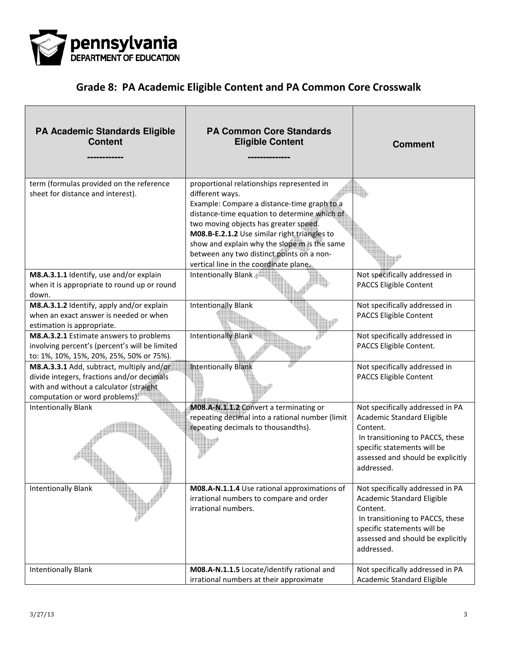

| PA Academic Standards Eligible<br><b>Content</b>                                                                                                                     | <b>PA Common Core Standards</b><br><b>Eligible Content</b>                                                                                                                                                                                                                                                                                                                                  | <b>Comment</b>                                                                                                                                                                                   |
|----------------------------------------------------------------------------------------------------------------------------------------------------------------------|---------------------------------------------------------------------------------------------------------------------------------------------------------------------------------------------------------------------------------------------------------------------------------------------------------------------------------------------------------------------------------------------|--------------------------------------------------------------------------------------------------------------------------------------------------------------------------------------------------|
| term (formulas provided on the reference<br>sheet for distance and interest).                                                                                        | proportional relationships represented in<br>different ways.<br>Example: Compare a distance-time graph to a<br>distance-time equation to determine which of<br>two moving objects has greater speed.<br>M08.B-E.2.1.2 Use similar right triangles to<br>show and explain why the slope m is the same<br>between any two distinct points on a non-<br>vertical line in the coordinate plane. |                                                                                                                                                                                                  |
| M8.A.3.1.1 Identify, use and/or explain<br>when it is appropriate to round up or round<br>down.                                                                      | Intentionally Blank                                                                                                                                                                                                                                                                                                                                                                         | Not specifically addressed in<br>PACCS Eligible Content                                                                                                                                          |
| M8.A.3.1.2 Identify, apply and/or explain<br>when an exact answer is needed or when<br>estimation is appropriate.                                                    | <b>Intentionally Blank</b>                                                                                                                                                                                                                                                                                                                                                                  | Not specifically addressed in<br>PACCS Eligible Content                                                                                                                                          |
| M8.A.3.2.1 Estimate answers to problems<br>involving percent's (percent's will be limited<br>to: 1%, 10%, 15%, 20%, 25%, 50% or 75%).                                | Intentionally Blank                                                                                                                                                                                                                                                                                                                                                                         | Not specifically addressed in<br>PACCS Eligible Content.                                                                                                                                         |
| M8.A.3.3.1 Add, subtract, multiply and/or<br>divide integers, fractions and/or decimals<br>with and without a calculator (straight<br>computation or word problems). | <b>Intentionally Blank</b>                                                                                                                                                                                                                                                                                                                                                                  | Not specifically addressed in<br>PACCS Eligible Content                                                                                                                                          |
| <b>Intentionally Blank</b>                                                                                                                                           | M08.A-N.1.1.2 Convert a terminating or<br>repeating decimal into a rational number (limit<br>repeating decimals to thousandths).                                                                                                                                                                                                                                                            | Not specifically addressed in PA<br>Academic Standard Eligible<br>Content.<br>In transitioning to PACCS, these<br>specific statements will be<br>assessed and should be explicitly<br>addressed. |
| <b>Intentionally Blank</b>                                                                                                                                           | M08.A-N.1.1.4 Use rational approximations of<br>irrational numbers to compare and order<br>irrational numbers.                                                                                                                                                                                                                                                                              | Not specifically addressed in PA<br>Academic Standard Eligible<br>Content.<br>In transitioning to PACCS, these<br>specific statements will be<br>assessed and should be explicitly<br>addressed. |
| <b>Intentionally Blank</b>                                                                                                                                           | M08.A-N.1.1.5 Locate/identify rational and<br>irrational numbers at their approximate                                                                                                                                                                                                                                                                                                       | Not specifically addressed in PA<br>Academic Standard Eligible                                                                                                                                   |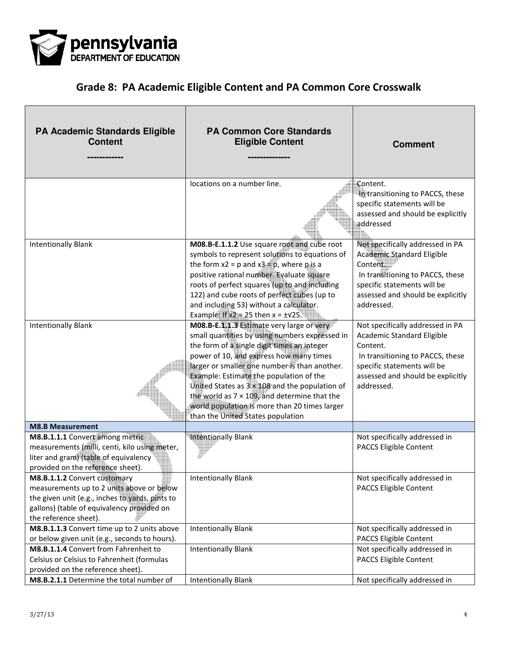

| <b>PA Academic Standards Eligible</b><br><b>Content</b>                                                                                                                                                    | <b>PA Common Core Standards</b><br><b>Eligible Content</b>                                                                                                                                                                                                                                                                                                                                                                                                                                      | <b>Comment</b>                                                                                                                                                                                   |
|------------------------------------------------------------------------------------------------------------------------------------------------------------------------------------------------------------|-------------------------------------------------------------------------------------------------------------------------------------------------------------------------------------------------------------------------------------------------------------------------------------------------------------------------------------------------------------------------------------------------------------------------------------------------------------------------------------------------|--------------------------------------------------------------------------------------------------------------------------------------------------------------------------------------------------|
|                                                                                                                                                                                                            | locations on a number line.                                                                                                                                                                                                                                                                                                                                                                                                                                                                     | Content.<br>In transitioning to PACCS, these<br>specific statements will be<br>assessed and should be explicitly<br>addressed                                                                    |
| <b>Intentionally Blank</b>                                                                                                                                                                                 | M08.B-E.1.1.2 Use square root and cube root<br>symbols to represent solutions to equations of<br>the form $x2 = p$ and $x3 = p$ , where p is a<br>positive rational number. Evaluate square<br>roots of perfect squares (up to and including<br>122) and cube roots of perfect cubes (up to<br>and including 53) without a calculator.<br>Example: If $x2 = 25$ then $x = \pm \sqrt{25}$ .                                                                                                      | Not specifically addressed in PA<br>Academic Standard Eligible<br>Content.<br>In transitioning to PACCS, these<br>specific statements will be<br>assessed and should be explicitly<br>addressed. |
| <b>Intentionally Blank</b>                                                                                                                                                                                 | M08.B-E.1.1.3 Estimate very large or very<br>small quantities by using numbers expressed in<br>the form of a single digit times an integer<br>power of 10, and express how many times<br>larger or smaller one number is than another.<br><b>Example: Estimate the population of the</b><br>United States as $3 \times 108$ and the population of<br>the world as $7 \times 109$ , and determine that the<br>world population is more than 20 times larger<br>than the United States population | Not specifically addressed in PA<br>Academic Standard Eligible<br>Content.<br>In transitioning to PACCS, these<br>specific statements will be<br>assessed and should be explicitly<br>addressed. |
| <b>M8.B Measurement</b>                                                                                                                                                                                    |                                                                                                                                                                                                                                                                                                                                                                                                                                                                                                 |                                                                                                                                                                                                  |
| M8.B.1.1.1 Convert among metric<br>measurements (milli, centi, kilo using meter,<br>liter and gram) (table of equivalency<br>provided on the reference sheet).                                             | Intentionally Blank                                                                                                                                                                                                                                                                                                                                                                                                                                                                             | Not specifically addressed in<br>PACCS Eligible Content                                                                                                                                          |
| <b>M8.B.1.1.2</b> Convert customary<br>measurements up to 2 units above or below<br>the given unit (e.g., inches to yards, pints to<br>gallons) (table of equivalency provided on<br>the reference sheet). | Intentionally Blank                                                                                                                                                                                                                                                                                                                                                                                                                                                                             | Not specifically addressed in<br>PACCS Eligible Content                                                                                                                                          |
| M8.B.1.1.3 Convert time up to 2 units above<br>or below given unit (e.g., seconds to hours).                                                                                                               | <b>Intentionally Blank</b>                                                                                                                                                                                                                                                                                                                                                                                                                                                                      | Not specifically addressed in<br>PACCS Eligible Content                                                                                                                                          |
| M8.B.1.1.4 Convert from Fahrenheit to<br>Celsius or Celsius to Fahrenheit (formulas<br>provided on the reference sheet).                                                                                   | <b>Intentionally Blank</b>                                                                                                                                                                                                                                                                                                                                                                                                                                                                      | Not specifically addressed in<br><b>PACCS Eligible Content</b>                                                                                                                                   |
| M8.B.2.1.1 Determine the total number of                                                                                                                                                                   | <b>Intentionally Blank</b>                                                                                                                                                                                                                                                                                                                                                                                                                                                                      | Not specifically addressed in                                                                                                                                                                    |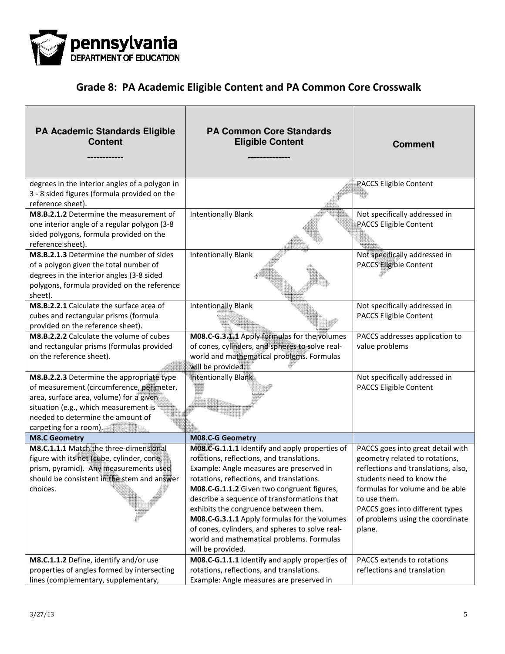

| <b>PA Academic Standards Eligible</b><br><b>Content</b>                                                                                                                                                                                  | <b>PA Common Core Standards</b><br><b>Eligible Content</b>                                                                                                                                                                                                                                                                                                                                                                                                                                      | <b>Comment</b>                                                                                                                                                                                                                                                              |
|------------------------------------------------------------------------------------------------------------------------------------------------------------------------------------------------------------------------------------------|-------------------------------------------------------------------------------------------------------------------------------------------------------------------------------------------------------------------------------------------------------------------------------------------------------------------------------------------------------------------------------------------------------------------------------------------------------------------------------------------------|-----------------------------------------------------------------------------------------------------------------------------------------------------------------------------------------------------------------------------------------------------------------------------|
| degrees in the interior angles of a polygon in<br>3 - 8 sided figures (formula provided on the<br>reference sheet).                                                                                                                      |                                                                                                                                                                                                                                                                                                                                                                                                                                                                                                 | <b>PACCS Eligible Content</b>                                                                                                                                                                                                                                               |
| M8.B.2.1.2 Determine the measurement of<br>one interior angle of a regular polygon (3-8<br>sided polygons, formula provided on the<br>reference sheet).                                                                                  | <b>Intentionally Blank</b>                                                                                                                                                                                                                                                                                                                                                                                                                                                                      | Not specifically addressed in<br>PACCS Eligible Content                                                                                                                                                                                                                     |
| M8.B.2.1.3 Determine the number of sides<br>of a polygon given the total number of<br>degrees in the interior angles (3-8 sided<br>polygons, formula provided on the reference<br>sheet).                                                | <b>Intentionally Blank</b>                                                                                                                                                                                                                                                                                                                                                                                                                                                                      | Not specifically addressed in<br><b>PACCS Eligible Content</b>                                                                                                                                                                                                              |
| M8.B.2.2.1 Calculate the surface area of<br>cubes and rectangular prisms (formula<br>provided on the reference sheet).                                                                                                                   | <b>Intentionally Blank</b>                                                                                                                                                                                                                                                                                                                                                                                                                                                                      | Not specifically addressed in<br>PACCS Eligible Content                                                                                                                                                                                                                     |
| M8.B.2.2.2 Calculate the volume of cubes<br>and rectangular prisms (formulas provided<br>on the reference sheet).                                                                                                                        | M08.C-G.3.1.1 Apply formulas for the volumes<br>of cones, cylinders, and spheres to solve real-<br>world and mathematical problems. Formulas<br>will be provided.                                                                                                                                                                                                                                                                                                                               | PACCS addresses application to<br>value problems                                                                                                                                                                                                                            |
| M8.B.2.2.3 Determine the appropriate type<br>of measurement (circumference, perimeter,<br>area, surface area, volume) for a given<br>situation (e.g., which measurement is<br>needed to determine the amount of<br>carpeting for a room) | Intentionally Blank                                                                                                                                                                                                                                                                                                                                                                                                                                                                             | Not specifically addressed in<br>PACCS Eligible Content                                                                                                                                                                                                                     |
| <b>M8.C Geometry</b>                                                                                                                                                                                                                     | M08.C-G Geometry                                                                                                                                                                                                                                                                                                                                                                                                                                                                                |                                                                                                                                                                                                                                                                             |
| M8.C.1.1.1 Match the three-dimensional<br>figure with its net (cube, cylinder, cone,<br>prism, pyramid). Any measurements used<br>should be consistent in the stem and answer<br>choices.                                                | MO8.C-G.1.1.1 Identify and apply properties of<br>rotations, reflections, and translations.<br>Example: Angle measures are preserved in<br>rotations, reflections, and translations.<br>M08.C-G.1.1.2 Given two congruent figures,<br>describe a sequence of transformations that<br>exhibits the congruence between them.<br>M08.C-G.3.1.1 Apply formulas for the volumes<br>of cones, cylinders, and spheres to solve real-<br>world and mathematical problems. Formulas<br>will be provided. | PACCS goes into great detail with<br>geometry related to rotations,<br>reflections and translations, also,<br>students need to know the<br>formulas for volume and be able<br>to use them.<br>PACCS goes into different types<br>of problems using the coordinate<br>plane. |
| M8.C.1.1.2 Define, identify and/or use                                                                                                                                                                                                   | M08.C-G.1.1.1 Identify and apply properties of                                                                                                                                                                                                                                                                                                                                                                                                                                                  | PACCS extends to rotations                                                                                                                                                                                                                                                  |
| properties of angles formed by intersecting<br>lines (complementary, supplementary,                                                                                                                                                      | rotations, reflections, and translations.<br>Example: Angle measures are preserved in                                                                                                                                                                                                                                                                                                                                                                                                           | reflections and translation                                                                                                                                                                                                                                                 |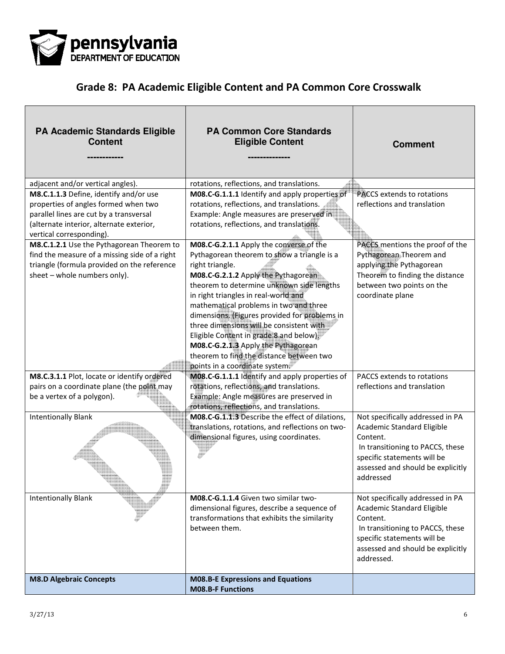

| PA Academic Standards Eligible<br><b>Content</b>                                                                                                                                                                                               | <b>PA Common Core Standards</b><br><b>Eligible Content</b>                                                                                                                                                                                                                                                                                                                                                                                                                                       | <b>Comment</b>                                                                                                                                                                                   |
|------------------------------------------------------------------------------------------------------------------------------------------------------------------------------------------------------------------------------------------------|--------------------------------------------------------------------------------------------------------------------------------------------------------------------------------------------------------------------------------------------------------------------------------------------------------------------------------------------------------------------------------------------------------------------------------------------------------------------------------------------------|--------------------------------------------------------------------------------------------------------------------------------------------------------------------------------------------------|
| adjacent and/or vertical angles).                                                                                                                                                                                                              | rotations, reflections, and translations.                                                                                                                                                                                                                                                                                                                                                                                                                                                        |                                                                                                                                                                                                  |
| M8.C.1.1.3 Define, identify and/or use<br>properties of angles formed when two<br>parallel lines are cut by a transversal<br>(alternate interior, alternate exterior,<br>vertical corresponding).<br>M8.C.1.2.1 Use the Pythagorean Theorem to | M08.C-G.1.1.1 Identify and apply properties of<br>rotations, reflections, and translations.<br>Example: Angle measures are preserved in<br>rotations, reflections, and translations.<br>M08.C-G.2.1.1 Apply the converse of the                                                                                                                                                                                                                                                                  | <b>PACCS</b> extends to rotations<br>reflections and translation<br>PACCS mentions the proof of the                                                                                              |
| find the measure of a missing side of a right<br>triangle (formula provided on the reference<br>sheet - whole numbers only).                                                                                                                   | Pythagorean theorem to show a triangle is a<br>right triangle.<br>M08.C-G.2.1.2 Apply the Pythagorean<br>theorem to determine unknown side lengths<br>in right triangles in real-world and<br>mathematical problems in two and three<br>dimensions. (Figures provided for problems in<br>three dimensions will be consistent with<br>Eligible Content in grade 8 and below)<br>M08.C-G.2.1.3 Apply the Pythagorean<br>theorem to find the distance between two<br>points in a coordinate system. | Pythagorean Theorem and<br>applying the Pythagorean<br>Theorem to finding the distance<br>between two points on the<br>coordinate plane                                                          |
| M8.C.3.1.1 Plot, locate or identify ordered<br>pairs on a coordinate plane (the point may<br>be a vertex of a polygon).                                                                                                                        | M08.C-G.1.1.1 Identify and apply properties of<br>rotations, reflections, and translations.<br>Example: Angle measures are preserved in<br>rotations, reflections, and translations.                                                                                                                                                                                                                                                                                                             | PACCS extends to rotations<br>reflections and translation                                                                                                                                        |
| <b>Intentionally Blank</b>                                                                                                                                                                                                                     | M08.C-G.1.1.3 Describe the effect of dilations,<br>translations, rotations, and reflections on two-<br>dimensional figures, using coordinates.                                                                                                                                                                                                                                                                                                                                                   | Not specifically addressed in PA<br>Academic Standard Eligible<br>Content.<br>In transitioning to PACCS, these<br>specific statements will be<br>assessed and should be explicitly<br>addressed  |
| <b>Intentionally Blank</b>                                                                                                                                                                                                                     | M08.C-G.1.1.4 Given two similar two-<br>dimensional figures, describe a sequence of<br>transformations that exhibits the similarity<br>between them.                                                                                                                                                                                                                                                                                                                                             | Not specifically addressed in PA<br>Academic Standard Eligible<br>Content.<br>In transitioning to PACCS, these<br>specific statements will be<br>assessed and should be explicitly<br>addressed. |
| <b>M8.D Algebraic Concepts</b>                                                                                                                                                                                                                 | <b>M08.B-E Expressions and Equations</b><br><b>M08.B-F Functions</b>                                                                                                                                                                                                                                                                                                                                                                                                                             |                                                                                                                                                                                                  |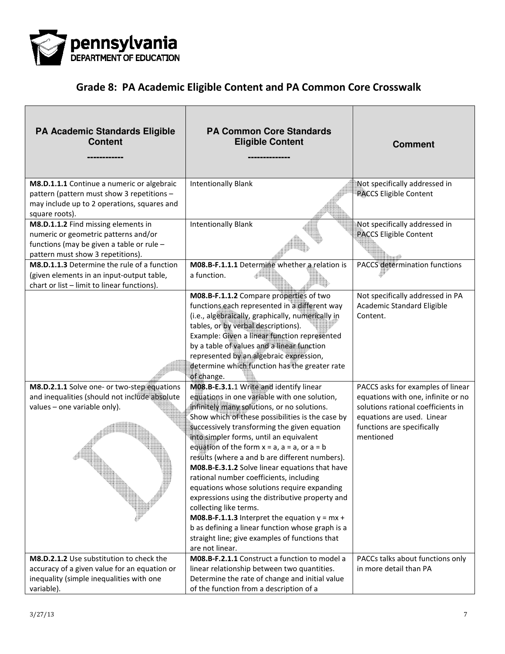

| <b>PA Academic Standards Eligible</b><br><b>Content</b>                                                                                                       | <b>PA Common Core Standards</b><br><b>Eligible Content</b>                                                                                                                                                                                                                                                                                                                                                                                                                                                                                                                                                                                                                                                                                                                                                 | <b>Comment</b>                                                                                                                                                                         |
|---------------------------------------------------------------------------------------------------------------------------------------------------------------|------------------------------------------------------------------------------------------------------------------------------------------------------------------------------------------------------------------------------------------------------------------------------------------------------------------------------------------------------------------------------------------------------------------------------------------------------------------------------------------------------------------------------------------------------------------------------------------------------------------------------------------------------------------------------------------------------------------------------------------------------------------------------------------------------------|----------------------------------------------------------------------------------------------------------------------------------------------------------------------------------------|
| M8.D.1.1.1 Continue a numeric or algebraic<br>pattern (pattern must show 3 repetitions -<br>may include up to 2 operations, squares and<br>square roots).     | <b>Intentionally Blank</b>                                                                                                                                                                                                                                                                                                                                                                                                                                                                                                                                                                                                                                                                                                                                                                                 | Not specifically addressed in<br><b>PACCS Eligible Content</b>                                                                                                                         |
| M8.D.1.1.2 Find missing elements in<br>numeric or geometric patterns and/or<br>functions (may be given a table or rule -<br>pattern must show 3 repetitions). | <b>Intentionally Blank</b>                                                                                                                                                                                                                                                                                                                                                                                                                                                                                                                                                                                                                                                                                                                                                                                 | Not specifically addressed in<br><b>PACCS Eligible Content</b>                                                                                                                         |
| M8.D.1.1.3 Determine the rule of a function<br>(given elements in an input-output table,<br>chart or list - limit to linear functions).                       | M08.B-F.1.1.1 Determine whether a relation is<br>a function.                                                                                                                                                                                                                                                                                                                                                                                                                                                                                                                                                                                                                                                                                                                                               | <b>PACCS determination functions</b>                                                                                                                                                   |
|                                                                                                                                                               | M08.B-F.1.1.2 Compare properties of two<br>functions each represented in a different way<br>(i.e., algebraically, graphically, numerically in<br>tables, or by verbal descriptions).<br>Example: Given a linear function represented<br>by a table of values and a linear function<br>represented by an algebraic expression,<br>determine which function has the greater rate<br>of change.                                                                                                                                                                                                                                                                                                                                                                                                               | Not specifically addressed in PA<br>Academic Standard Eligible<br>Content.                                                                                                             |
| M8.D.2.1.1 Solve one- or two-step equations<br>and inequalities (should not include absolute<br>values - one variable only).                                  | M08.B-E.3.1.1 Write and identify linear<br>equations in one variable with one solution,<br>infinitely many solutions, or no solutions.<br>Show which of these possibilities is the case by<br>successively transforming the given equation<br>into simpler forms, until an equivalent<br>equation of the form $x = a$ , $a = a$ , or $a = b$<br>results (where a and b are different numbers).<br>M08.B-E.3.1.2 Solve linear equations that have<br>rational number coefficients, including<br>equations whose solutions require expanding<br>expressions using the distributive property and<br>collecting like terms.<br><b>M08.B-F.1.1.3</b> Interpret the equation $y = mx +$<br>b as defining a linear function whose graph is a<br>straight line; give examples of functions that<br>are not linear. | PACCS asks for examples of linear<br>equations with one, infinite or no<br>solutions rational coefficients in<br>equations are used. Linear<br>functions are specifically<br>mentioned |
| M8.D.2.1.2 Use substitution to check the<br>accuracy of a given value for an equation or<br>inequality (simple inequalities with one<br>variable).            | M08.B-F.2.1.1 Construct a function to model a<br>linear relationship between two quantities.<br>Determine the rate of change and initial value<br>of the function from a description of a                                                                                                                                                                                                                                                                                                                                                                                                                                                                                                                                                                                                                  | PACCs talks about functions only<br>in more detail than PA                                                                                                                             |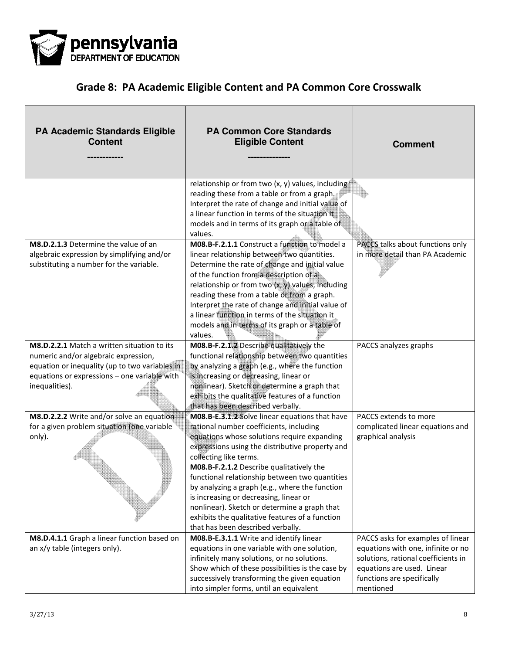

| PA Academic Standards Eligible<br><b>Content</b>                                                                                                                                                        | <b>PA Common Core Standards</b><br><b>Eligible Content</b>                                                                                                                                                                                                                                                                                                                                                                                                                                                                                              | <b>Comment</b>                                                                                                                                                                          |
|---------------------------------------------------------------------------------------------------------------------------------------------------------------------------------------------------------|---------------------------------------------------------------------------------------------------------------------------------------------------------------------------------------------------------------------------------------------------------------------------------------------------------------------------------------------------------------------------------------------------------------------------------------------------------------------------------------------------------------------------------------------------------|-----------------------------------------------------------------------------------------------------------------------------------------------------------------------------------------|
|                                                                                                                                                                                                         | relationship or from two (x, y) values, including<br>reading these from a table or from a graph,<br>Interpret the rate of change and initial value of<br>a linear function in terms of the situation it<br>models and in terms of its graph or a table of<br>values.                                                                                                                                                                                                                                                                                    |                                                                                                                                                                                         |
| M8.D.2.1.3 Determine the value of an<br>algebraic expression by simplifying and/or<br>substituting a number for the variable.                                                                           | M08.B-F.2.1.1 Construct a function to model a<br>linear relationship between two quantities.<br>Determine the rate of change and initial value<br>of the function from a description of a<br>relationship or from two $(x, y)$ values, including<br>reading these from a table or from a graph.<br>Interpret the rate of change and initial value of<br>a linear function in terms of the situation it<br>models and in terms of its graph or a table of<br>values.                                                                                     | PACCS talks about functions only<br>in more detail than PA Academic                                                                                                                     |
| M8.D.2.2.1 Match a written situation to its<br>numeric and/or algebraic expression,<br>equation or inequality (up to two variables in<br>equations or expressions - one variable with<br>inequalities). | M08.B-F.2.1.2 Describe qualitatively the<br>functional relationship between two quantities<br>by analyzing a graph (e.g., where the function<br>is increasing or decreasing, linear or<br>nonlinear). Sketch or determine a graph that<br>exhibits the qualitative features of a function<br>that has been described verbally.                                                                                                                                                                                                                          | PACCS analyzes graphs                                                                                                                                                                   |
| M8.D.2.2.2 Write and/or solve an equation<br>for a given problem situation (one variable<br>only).                                                                                                      | M08.B-E.3.1.2 Solve linear equations that have<br>rational number coefficients, including<br>equations whose solutions require expanding<br>expressions using the distributive property and<br>coffecting like terms.<br>M08.B-F.2.1.2 Describe qualitatively the<br>functional relationship between two quantities<br>by analyzing a graph (e.g., where the function<br>is increasing or decreasing, linear or<br>nonlinear). Sketch or determine a graph that<br>exhibits the qualitative features of a function<br>that has been described verbally. | PACCS extends to more<br>complicated linear equations and<br>graphical analysis                                                                                                         |
| M8.D.4.1.1 Graph a linear function based on<br>an x/y table (integers only).                                                                                                                            | M08.B-E.3.1.1 Write and identify linear<br>equations in one variable with one solution,<br>infinitely many solutions, or no solutions.<br>Show which of these possibilities is the case by<br>successively transforming the given equation<br>into simpler forms, until an equivalent                                                                                                                                                                                                                                                                   | PACCS asks for examples of linear<br>equations with one, infinite or no<br>solutions, rational coefficients in<br>equations are used. Linear<br>functions are specifically<br>mentioned |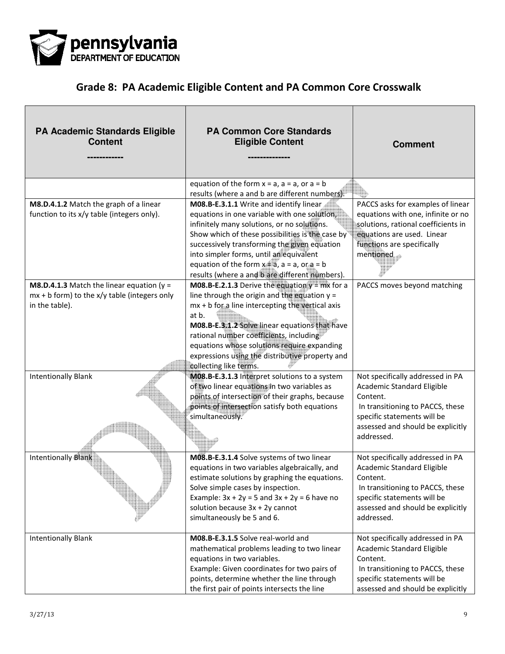

| <b>PA Academic Standards Eligible</b><br><b>Content</b>                                                                   | <b>PA Common Core Standards</b><br><b>Eligible Content</b>                                                                                                                                                                                                                                                                                                        | <b>Comment</b>                                                                                                                                                                                   |
|---------------------------------------------------------------------------------------------------------------------------|-------------------------------------------------------------------------------------------------------------------------------------------------------------------------------------------------------------------------------------------------------------------------------------------------------------------------------------------------------------------|--------------------------------------------------------------------------------------------------------------------------------------------------------------------------------------------------|
| M8.D.4.1.2 Match the graph of a linear<br>function to its x/y table (integers only).                                      | equation of the form $x = a$ , $a = a$ , or $a = b$<br>results (where a and b are different numbers).<br>M08.B-E.3.1.1 Write and identify linear<br>equations in one variable with one solution,<br>infinitely many solutions, or no solutions.<br>Show which of these possibilities is the case by                                                               | PACCS asks for examples of linear<br>equations with one, infinite or no<br>solutions, rational coefficients in<br>equations are used. Linear                                                     |
| <b>M8.D.4.1.3</b> Match the linear equation ( $y =$<br>$mx + b$ form) to the $x/y$ table (integers only<br>in the table). | successively transforming the given equation<br>into simpler forms, until an equivalent<br>equation of the form $x = a$ , $a = a$ , or $a = b$<br>results (where a and b are different numbers).<br><b>M08.B-E.2.1.3</b> Derive the equation $y = mx$ for a<br>line through the origin and the equation $y =$<br>mx + b for a line intercepting the vertical axis | functions are specifically<br>mentioned<br>PACCS moves beyond matching                                                                                                                           |
|                                                                                                                           | at b.<br>M08.B-E.3.1.2 Solve linear equations that have<br>rational number coefficients, including<br>equations whose solutions require expanding<br>expressions using the distributive property and<br>collecting like terms.                                                                                                                                    |                                                                                                                                                                                                  |
| <b>Intentionally Blank</b>                                                                                                | M08.B-E.3.1.3 Interpret solutions to a system<br>of two linear equations in two variables as<br>points of intersection of their graphs, because<br>points of intersection satisfy both equations<br>simultaneously.                                                                                                                                               | Not specifically addressed in PA<br>Academic Standard Eligible<br>Content.<br>In transitioning to PACCS, these<br>specific statements will be<br>assessed and should be explicitly<br>addressed. |
| <b>Intentionally Blank</b>                                                                                                | M08.B-E.3.1.4 Solve systems of two linear<br>equations in two variables algebraically, and<br>estimate solutions by graphing the equations.<br>Solve simple cases by inspection.<br>Example: $3x + 2y = 5$ and $3x + 2y = 6$ have no<br>solution because $3x + 2y$ cannot<br>simultaneously be 5 and 6.                                                           | Not specifically addressed in PA<br>Academic Standard Eligible<br>Content.<br>In transitioning to PACCS, these<br>specific statements will be<br>assessed and should be explicitly<br>addressed. |
| <b>Intentionally Blank</b>                                                                                                | M08.B-E.3.1.5 Solve real-world and<br>mathematical problems leading to two linear<br>equations in two variables.<br>Example: Given coordinates for two pairs of<br>points, determine whether the line through<br>the first pair of points intersects the line                                                                                                     | Not specifically addressed in PA<br>Academic Standard Eligible<br>Content.<br>In transitioning to PACCS, these<br>specific statements will be<br>assessed and should be explicitly               |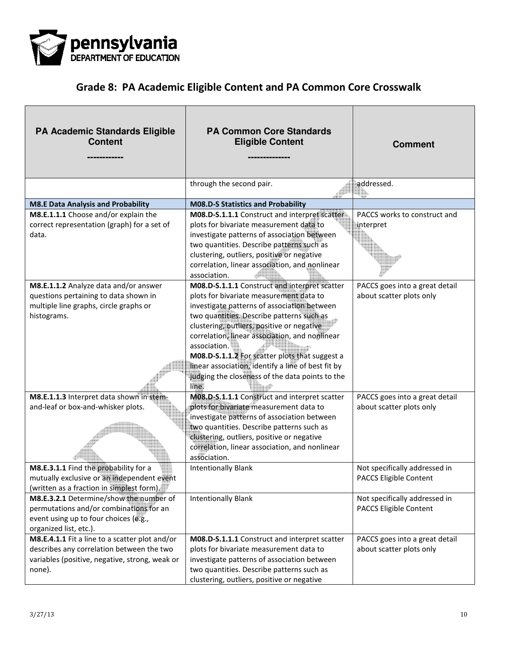

| <b>PA Academic Standards Eligible</b><br><b>Content</b>                                                                                                 | <b>PA Common Core Standards</b><br><b>Eligible Content</b>                                                                                                                                                                                                                                                                                                                                                                                                               | <b>Comment</b>                                                 |
|---------------------------------------------------------------------------------------------------------------------------------------------------------|--------------------------------------------------------------------------------------------------------------------------------------------------------------------------------------------------------------------------------------------------------------------------------------------------------------------------------------------------------------------------------------------------------------------------------------------------------------------------|----------------------------------------------------------------|
|                                                                                                                                                         | through the second pair.                                                                                                                                                                                                                                                                                                                                                                                                                                                 | addressed.                                                     |
| <b>M8.E Data Analysis and Probability</b>                                                                                                               | <b>M08.D-S Statistics and Probability</b>                                                                                                                                                                                                                                                                                                                                                                                                                                |                                                                |
| M8.E.1.1.1 Choose and/or explain the                                                                                                                    | M08.D-S.1.1.1 Construct and interpret scatter                                                                                                                                                                                                                                                                                                                                                                                                                            | PACCS works to construct and                                   |
| correct representation (graph) for a set of<br>data.                                                                                                    | plots for bivariate measurement data to<br>investigate patterns of association between<br>two quantities. Describe patterns such as<br>clustering, outliers, positive or negative<br>correlation, linear association, and nonlinear<br>association.                                                                                                                                                                                                                      | interpret                                                      |
| M8.E.1.1.2 Analyze data and/or answer<br>questions pertaining to data shown in<br>multiple line graphs, circle graphs or<br>histograms.                 | M08.D-S.1.1.1 Construct and interpret scatter<br>plots for bivariate measurement data to<br>investigate patterns of association between<br>two quantities. Describe patterns such as<br>clustering, outliers, positive or negative<br>correlation, linear association, and nonlinear<br>association.<br>M08.D-S.1.1.2 For scatter plots that suggest a<br>linear association, identify a line of best fit by<br>judging the closeness of the data points to the<br>line. | PACCS goes into a great detail<br>about scatter plots only     |
| M8.E.1.1.3 Interpret data shown in stem-<br>and-leaf or box-and-whisker plots.                                                                          | M08.D-S.1.1.1 Construct and interpret scatter<br>plots for bivariate measurement data to<br>investigate patterns of association between<br>two quantities. Describe patterns such as<br>clustering, outliers, positive or negative<br>correlation, linear association, and nonlinear<br>association.                                                                                                                                                                     | PACCS goes into a great detail<br>about scatter plots only     |
| M8.E.3.1.1 Find the probability for a<br>mutually exclusive or an independent event<br>(written as a fraction in simplest form).                        | <b>Intentionally Blank</b>                                                                                                                                                                                                                                                                                                                                                                                                                                               | Not specifically addressed in<br><b>PACCS Eligible Content</b> |
| M8.E.3.2.1 Determine/show the number of<br>permutations and/or combinations for an<br>event using up to four choices (e.g.,<br>organized list, etc.).   | <b>Intentionally Blank</b>                                                                                                                                                                                                                                                                                                                                                                                                                                               | Not specifically addressed in<br>PACCS Eligible Content        |
| M8.E.4.1.1 Fit a line to a scatter plot and/or<br>describes any correlation between the two<br>variables (positive, negative, strong, weak or<br>none). | M08.D-S.1.1.1 Construct and interpret scatter<br>plots for bivariate measurement data to<br>investigate patterns of association between<br>two quantities. Describe patterns such as<br>clustering, outliers, positive or negative                                                                                                                                                                                                                                       | PACCS goes into a great detail<br>about scatter plots only     |